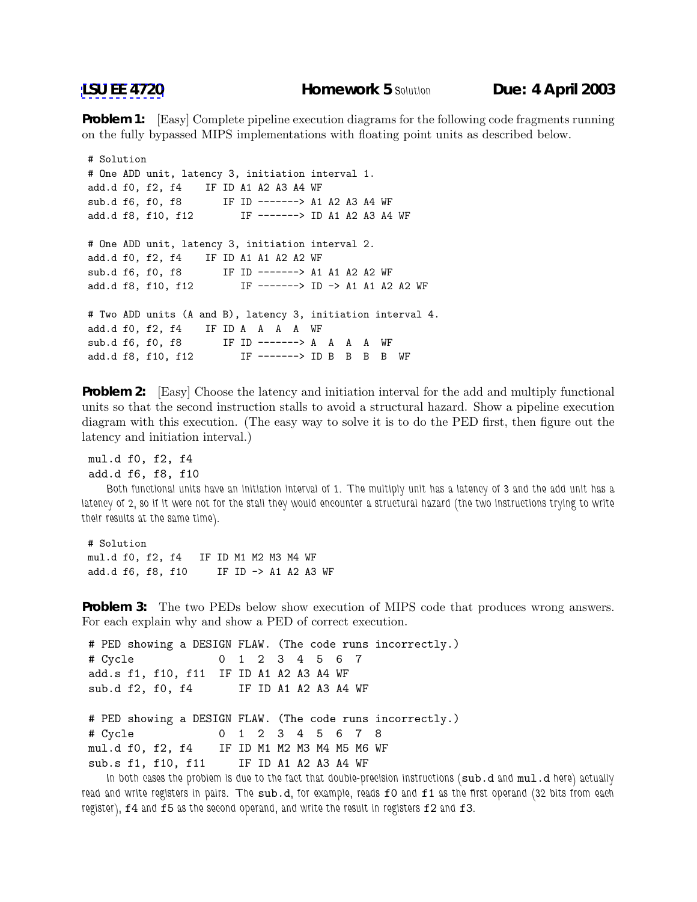**Problem 1:** [Easy] Complete pipeline execution diagrams for the following code fragments running on the fully bypassed MIPS implementations with floating point units as described below.

```
# Solution
# One ADD unit, latency 3, initiation interval 1.
add.d f0, f2, f4 IF ID A1 A2 A3 A4 WF
sub.d f6, f0, f8 IF ID -------> A1 A2 A3 A4 WF
add.d f8, f10, f12 IF -------> ID A1 A2 A3 A4 WF
# One ADD unit, latency 3, initiation interval 2.
add.d f0, f2, f4 IF ID A1 A1 A2 A2 WF
sub.d f6, f0, f8 IF ID -------> A1 A1 A2 A2 WF
add.d f8, f10, f12 IF -------> ID -> A1 A1 A2 A2 WF
# Two ADD units (A and B), latency 3, initiation interval 4.
add.d f0, f2, f4 IF ID A A A A WF
sub.d f6, f0, f8 IF ID -------> A A A A WF
add.d f8, f10, f12 IF -------> ID B B B B WF
```
**Problem 2:** [Easy] Choose the latency and initiation interval for the add and multiply functional units so that the second instruction stalls to avoid a structural hazard. Show a pipeline execution diagram with this execution. (The easy way to solve it is to do the PED first, then figure out the latency and initiation interval.)

mul.d f0, f2, f4 add.d f6, f8, f10

*Both functional units have an initiation interval of 1. The multiply unit has a latency of 3 and the add unit has a latency of 2, so if it were not for the stall they would encounter a structural hazard (the two instructions trying to write their results at the same time).*

# Solution mul.d f0, f2, f4 IF ID M1 M2 M3 M4 WF add.d f6, f8, f10 IF ID -> A1 A2 A3 WF

**Problem 3:** The two PEDs below show execution of MIPS code that produces wrong answers. For each explain why and show a PED of correct execution.

```
# PED showing a DESIGN FLAW. (The code runs incorrectly.)
# Cycle 01234567
add.s f1, f10, f11 IF ID A1 A2 A3 A4 WF
sub.d f2, f0, f4 IF ID A1 A2 A3 A4 WF
# PED showing a DESIGN FLAW. (The code runs incorrectly.)
# Cycle 012345678
```
mul.d f0, f2, f4 IF ID M1 M2 M3 M4 M5 M6 WF sub.s f1, f10, f11 IF ID A1 A2 A3 A4 WF

In both cases the problem is due to the fact that double-precision instructions (sub.d and  $mul.d$  here) actually *read and write registers in pairs. The* sub.d*, for example, reads* f0 *and* f1 *as the first operand (32 bits from each register),* f4 *and* f5 *as the second operand, and write the result in registers* f2 *and* f3*.*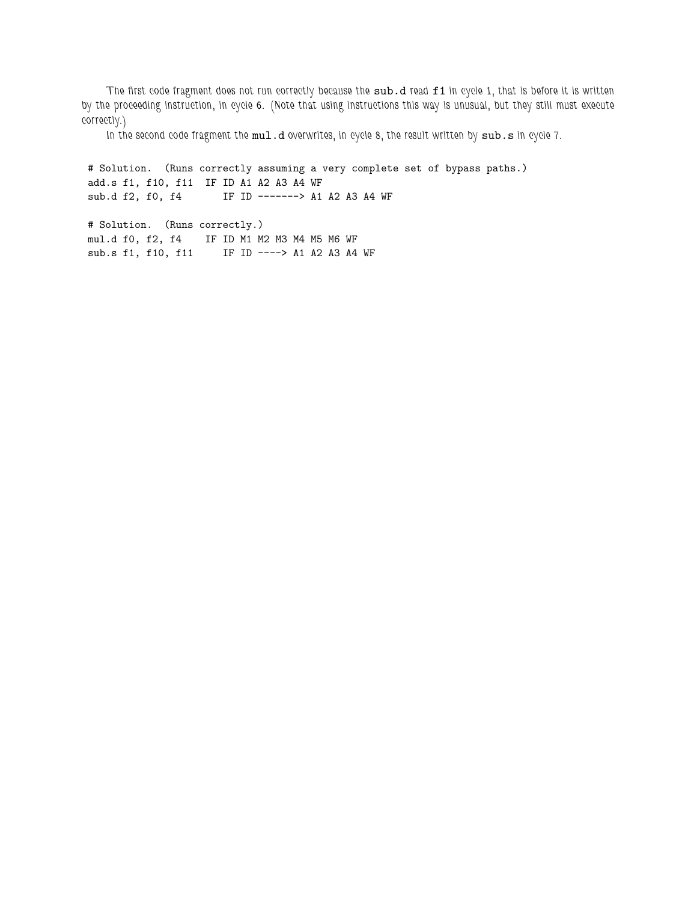*The first code fragment does not run correctly because the* sub.d *read* f1 *in cycle 1, that is before it is written by the proceeding instruction, in cycle 6. (Note that using instructions this way is unusual, but they still must execute correctly.)*

In the second code fragment the mul.d overwrites, in cycle 8, the result written by sub.s in cycle 7.

# Solution. (Runs correctly assuming a very complete set of bypass paths.) add.s f1, f10, f11 IF ID A1 A2 A3 A4 WF sub.d f2, f0, f4 IF ID -------> A1 A2 A3 A4 WF

# Solution. (Runs correctly.) mul.d f0, f2, f4 IF ID M1 M2 M3 M4 M5 M6 WF sub.s f1, f10, f11 IF ID ----> A1 A2 A3 A4 WF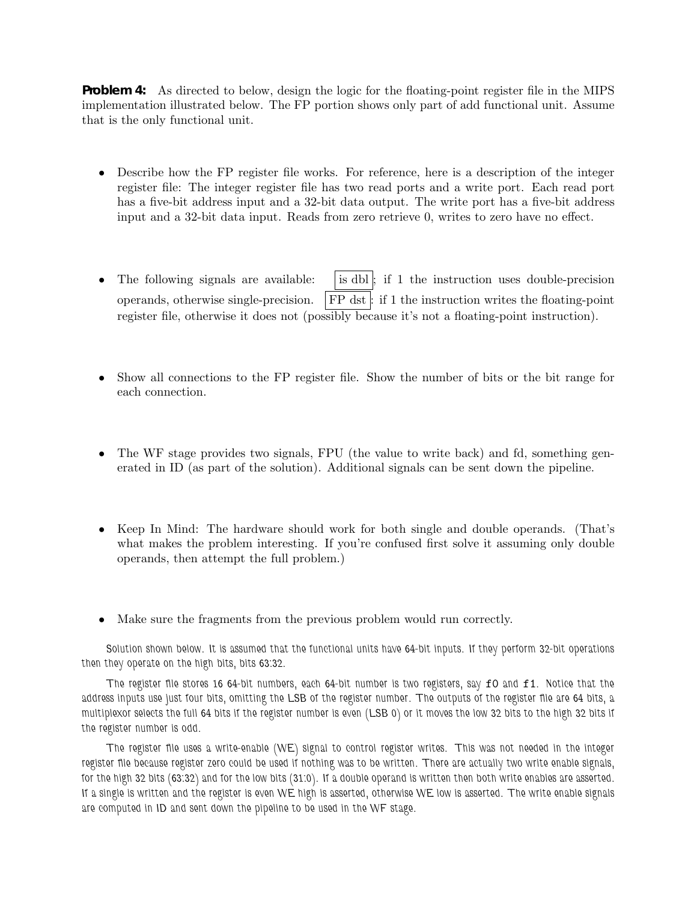**Problem 4:** As directed to below, design the logic for the floating-point register file in the MIPS implementation illustrated below. The FP portion shows only part of add functional unit. Assume that is the only functional unit.

- Describe how the FP register file works. For reference, here is a description of the integer register file: The integer register file has two read ports and a write port. Each read port has a five-bit address input and a 32-bit data output. The write port has a five-bit address input and a 32-bit data input. Reads from zero retrieve 0, writes to zero have no effect.
- The following signals are available:  $\vert$  is dbl ; if 1 the instruction uses double-precision operands, otherwise single-precision.  $\| \text{FP} \text{dst} \|$ : if 1 the instruction writes the floating-point register file, otherwise it does not (possibly because it's not a floating-point instruction).
- Show all connections to the FP register file. Show the number of bits or the bit range for each connection.
- The WF stage provides two signals, FPU (the value to write back) and fd, something generated in ID (as part of the solution). Additional signals can be sent down the pipeline.
- Keep In Mind: The hardware should work for both single and double operands. (That's what makes the problem interesting. If you're confused first solve it assuming only double operands, then attempt the full problem.)
- Make sure the fragments from the previous problem would run correctly.

*Solution shown below. It is assumed that the functional units have 64-bit inputs. If they perform 32-bit operations then they operate on the high bits, bits 63:32.*

*The register file stores 16 64-bit numbers, each 64-bit number is two registers, say* f0 *and* f1*. Notice that the address inputs use just four bits, omitting the LSB of the register number. The outputs of the register file are 64 bits, a multiplexor selects the full 64 bits if the register number is even (LSB 0) or it moves the low 32 bits to the high 32 bits if the register number is odd.*

*The register file uses a write-enable (WE) signal to control register writes. This was not needed in the integer register file because register zero could be used if nothing was to be written. There are actually two write enable signals, for the high 32 bits (63:32) and for the low bits (31:0). If a double operand is written then both write enables are asserted. If a single is written and the register is even WE high is asserted, otherwise WE low is asserted. The write enable signals are computed in ID and sent down the pipeline to be used in the WF stage.*